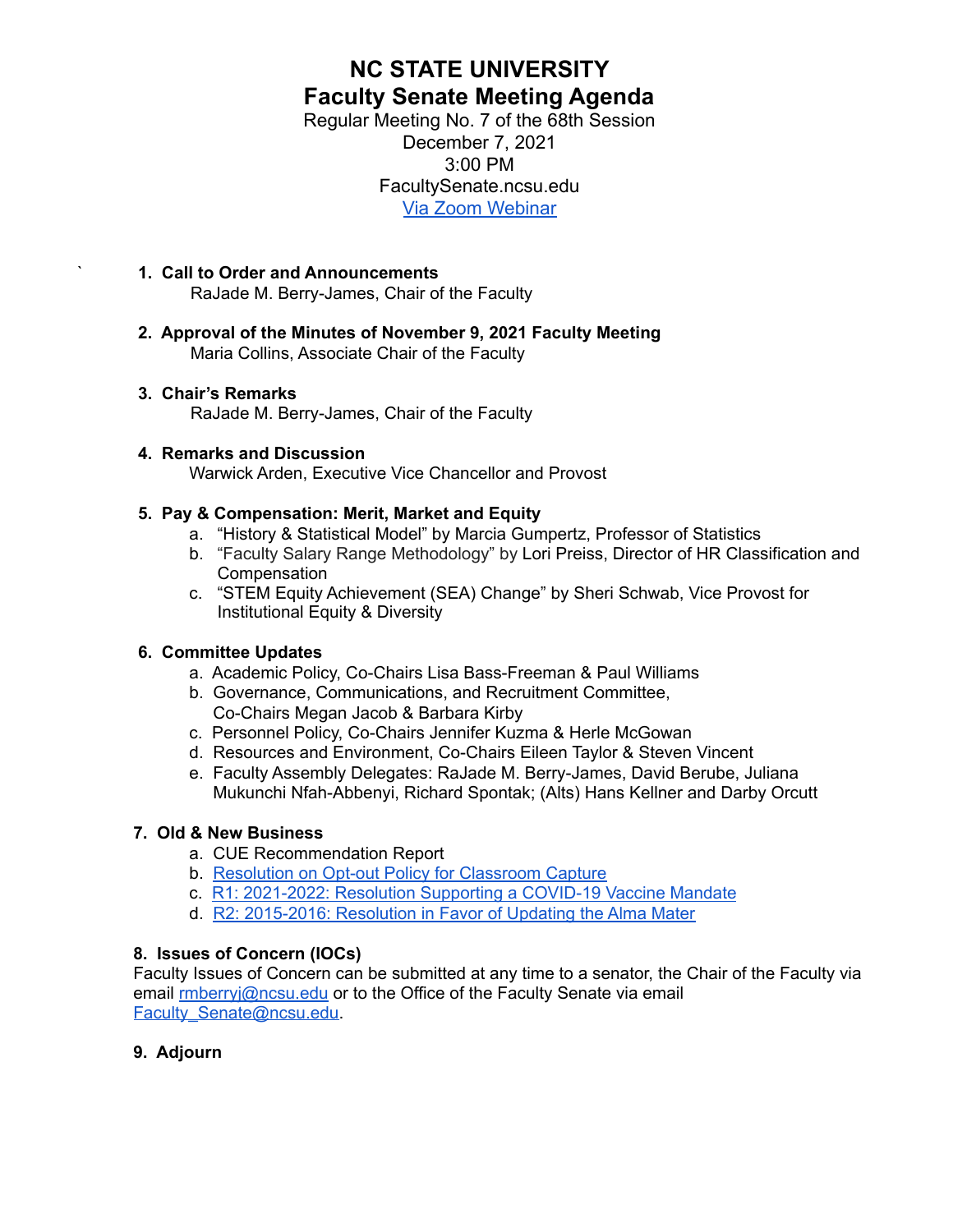# **NC STATE UNIVERSITY Faculty Senate Meeting Agenda**

Regular Meeting No. 7 of the 68th Session December 7, 2021 3:00 PM FacultySenate.ncsu.edu [Via Zoom Webinar](https://ncsu.zoom.us/webinar/register/WN_G34Gun91RKiWy0aB6w3lZA)

- ` **1. Call to Order and Announcements** RaJade M. Berry-James, Chair of the Faculty
- **2. Approval of the Minutes of November 9, 2021 Faculty Meeting** Maria Collins, Associate Chair of the Faculty

### **3. Chair's Remarks**

RaJade M. Berry-James, Chair of the Faculty

### **4. Remarks and Discussion**

Warwick Arden, Executive Vice Chancellor and Provost

### **5. Pay & Compensation: Merit, Market and Equity**

- a. "History & Statistical Model" by Marcia Gumpertz, Professor of Statistics
- b. "Faculty Salary Range Methodology" by Lori Preiss, Director of HR Classification and Compensation
- c. "STEM Equity Achievement (SEA) Change" by Sheri Schwab, Vice Provost for Institutional Equity & Diversity

### **6. Committee Updates**

- a. Academic Policy, Co-Chairs Lisa Bass-Freeman & Paul Williams
- b. Governance, Communications, and Recruitment Committee, Co-Chairs Megan Jacob & Barbara Kirby
- c. Personnel Policy, Co-Chairs Jennifer Kuzma & Herle McGowan
- d. Resources and Environment, Co-Chairs Eileen Taylor & Steven Vincent
- e. Faculty Assembly Delegates: RaJade M. Berry-James, David Berube, Juliana Mukunchi Nfah-Abbenyi, Richard Spontak; (Alts) Hans Kellner and Darby Orcutt

### **7. Old & New Business**

- a. CUE Recommendation Report
- b. Resolution on Opt-out Policy for [Classroom](https://drive.google.com/file/d/1Yhd_YiHUfn2o0r_xwvHPfKKAPryXyOIu/view?usp=sharing) Capture
- c. R1: [2021-2022:](https://facultysenate.ncsu.edu/wp-content/uploads/sites/65/2021/09/NCSU-28th-Faculty-Senate-R1-2021_2022-Resolution-of-COVID-19-Vaccine-Mandate.pdf) Resolution Supporting a COVID-19 Vaccine Mandate
- d. R2: [2015-2016:](https://facultysenate.ncsu.edu/wp-content/uploads/sites/65/2016/05/R2-AlmaMater.pdf) Resolution in Favor of Updating the Alma Mater

### **8. Issues of Concern (IOCs)**

Faculty Issues of Concern can be submitted at any time to a senator, the Chair of the Faculty via email **[rmberryj@ncsu.edu](mailto:rmberryj@ncsu.edu)** or to the Office of the Faculty Senate via email [Faculty\\_Senate@ncsu.edu.](mailto:faculty_senate@ncsu.edu)

#### **9. Adjourn**